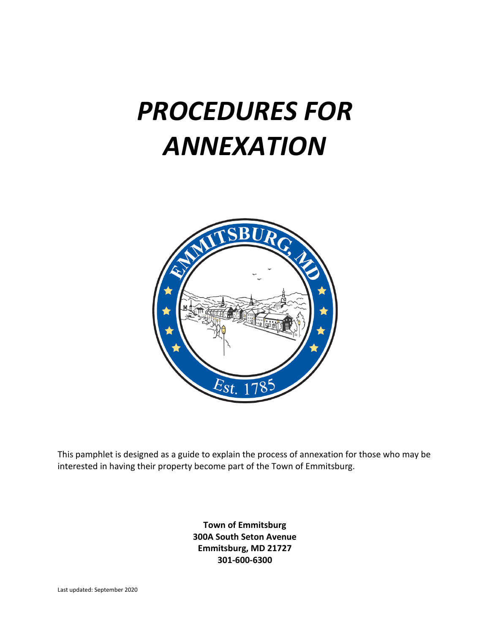# *PROCEDURES FOR ANNEXATION*



 This pamphlet is designed as a guide to explain the process of annexation for those who may be interested in having their property become part of the Town of Emmitsburg.

> **Town of Emmitsburg 300A South Seton Avenue Emmitsburg, MD 21727 301-600-6300**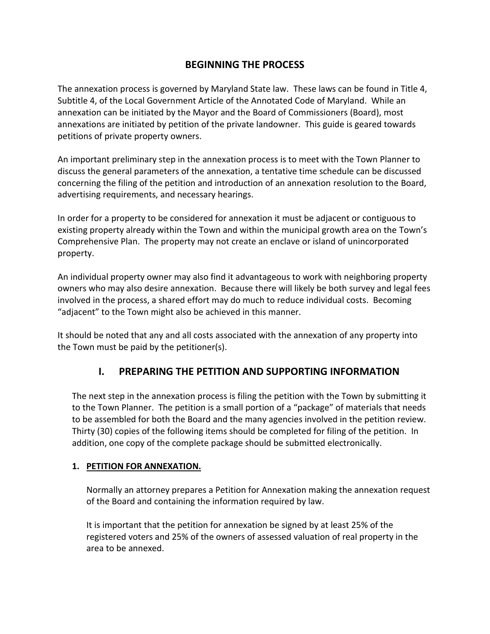#### **BEGINNING THE PROCESS**

 The annexation process is governed by Maryland State law. These laws can be found in Title 4, Subtitle 4, of the Local Government Article of the Annotated Code of Maryland. While an annexation can be initiated by the Mayor and the Board of Commissioners (Board), most annexations are initiated by petition of the private landowner. This guide is geared towards petitions of private property owners.

 An important preliminary step in the annexation process is to meet with the Town Planner to discuss the general parameters of the annexation, a tentative time schedule can be discussed concerning the filing of the petition and introduction of an annexation resolution to the Board, advertising requirements, and necessary hearings.

 In order for a property to be considered for annexation it must be adjacent or contiguous to existing property already within the Town and within the municipal growth area on the Town's Comprehensive Plan. The property may not create an enclave or island of unincorporated property.

property.<br>An individual property owner may also find it advantageous to work with neighboring property owners who may also desire annexation. Because there will likely be both survey and legal fees involved in the process, a shared effort may do much to reduce individual costs. Becoming ͞adjacent͟ to the Town might also be achieved in this manner.

 It should be noted that any and all costs associated with the annexation of any property into the Town must be paid by the petitioner(s).

#### **I. PREPARING THE PETITION AND SUPPORTING INFORMATION**

 The next step in the annexation process is filing the petition with the Town by submitting it to the Town Planner. The petition is a small portion of a "package" of materials that needs to be assembled for both the Board and the many agencies involved in the petition review. Thirty (30) copies of the following items should be completed for filing of the petition. In addition, one copy of the complete package should be submitted electronically.

#### **1. PETITION FOR ANNEXATION.**

 Normally an attorney prepares a Petition for Annexation making the annexation request of the Board and containing the information required by law.

 It is important that the petition for annexation be signed by at least 25% of the registered voters and 25% of the owners of assessed valuation of real property in the area to be annexed.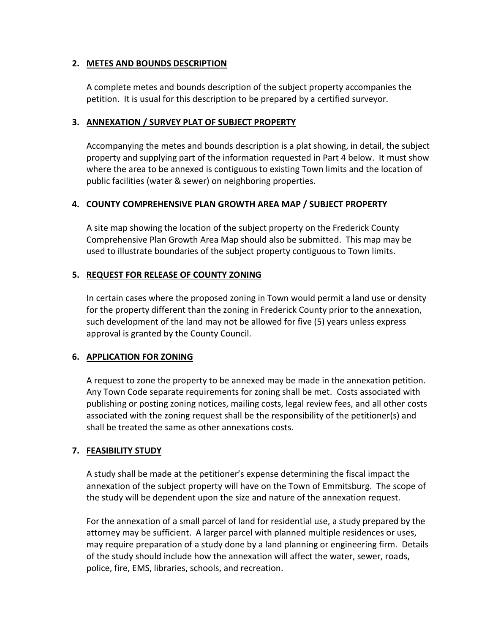#### **2. METES AND BOUNDS DESCRIPTION**

 A complete metes and bounds description of the subject property accompanies the petition. It is usual for this description to be prepared by a certified surveyor.

#### **3. ANNEXATION / SURVEY PLAT OF SUBJECT PROPERTY**

 Accompanying the metes and bounds description is a plat showing, in detail, the subject property and supplying part of the information requested in Part 4 below. It must show where the area to be annexed is contiguous to existing Town limits and the location of public facilities (water & sewer) on neighboring properties.

#### **4. COUNTY COMPREHENSIVE PLAN GROWTH AREA MAP / SUBJECT PROPERTY**

 A site map showing the location of the subject property on the Frederick County Comprehensive Plan Growth Area Map should also be submitted. This map may be used to illustrate boundaries of the subject property contiguous to Town limits.

#### **5. REQUEST FOR RELEASE OF COUNTY ZONING**

 In certain cases where the proposed zoning in Town would permit a land use or density for the property different than the zoning in Frederick County prior to the annexation, such development of the land may not be allowed for five (5) years unless express approval is granted by the County Council.

#### **6. APPLICATION FOR ZONING**

 A request to zone the property to be annexed may be made in the annexation petition. Any Town Code separate requirements for zoning shall be met. Costs associated with publishing or posting zoning notices, mailing costs, legal review fees, and all other costs associated with the zoning request shall be the responsibility of the petitioner(s) and shall be treated the same as other annexations costs.

#### **7. FEASIBILITY STUDY**

 A study shall be made at the petitioner's expense determining the fiscal impact the annexation of the subject property will have on the Town of Emmitsburg. The scope of the study will be dependent upon the size and nature of the annexation request.

 For the annexation of a small parcel of land for residential use, a study prepared by the attorney may be sufficient. A larger parcel with planned multiple residences or uses, may require preparation of a study done by a land planning or engineering firm. Details of the study should include how the annexation will affect the water, sewer, roads, police, fire, EMS, libraries, schools, and recreation.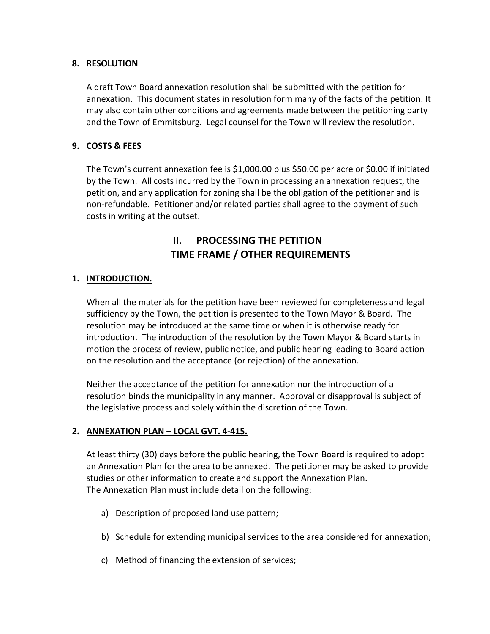#### **8. RESOLUTION**

 A draft Town Board annexation resolution shall be submitted with the petition for annexation. This document states in resolution form many of the facts of the petition. It may also contain other conditions and agreements made between the petitioning party and the Town of Emmitsburg. Legal counsel for the Town will review the resolution.

#### **9. COSTS & FEES**

 The Town's current annexation fee is [\\$1,000.00](https://1,000.00) plus \$50.00 per acre or \$0.00 if initiated by the Town. All costs incurred by the Town in processing an annexation request, the petition, and any application for zoning shall be the obligation of the petitioner and is non-refundable. Petitioner and/or related parties shall agree to the payment of such costs in writing at the outset.

### **II. PROCESSING THE PETITION TIME FRAME / OTHER REQUIREMENTS**

#### **1. INTRODUCTION.**

 When all the materials for the petition have been reviewed for completeness and legal sufficiency by the Town, the petition is presented to the Town Mayor & Board. The resolution may be introduced at the same time or when it is otherwise ready for introduction. The introduction of the resolution by the Town Mayor & Board starts in motion the process of review, public notice, and public hearing leading to Board action on the resolution and the acceptance (or rejection) of the annexation.

 Neither the acceptance of the petition for annexation nor the introduction of a resolution binds the municipality in any manner. Approval or disapproval is subject of the legislative process and solely within the discretion of the Town.

#### **2. ANNEXATION PLAN – LOCAL GVT. 4-415.**

 At least thirty (30) days before the public hearing, the Town Board is required to adopt an Annexation Plan for the area to be annexed. The petitioner may be asked to provide studies or other information to create and support the Annexation Plan. The Annexation Plan must include detail on the following:

- a) Description of proposed land use pattern;
- b) Schedule for extending municipal services to the area considered for annexation;
- c) Method of financing the extension of services;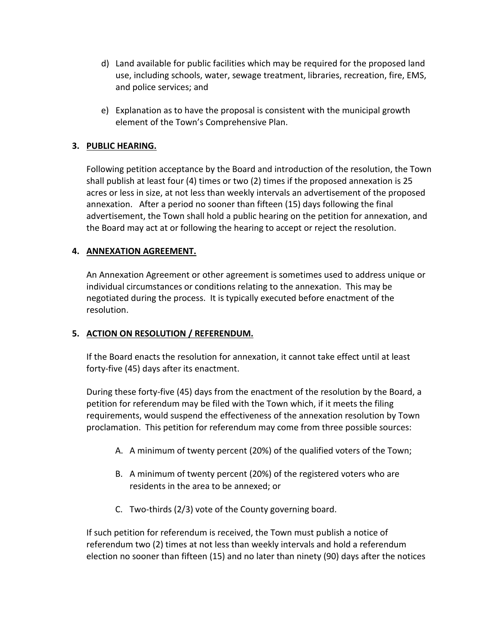- d) Land available for public facilities which may be required for the proposed land use, including schools, water, sewage treatment, libraries, recreation, fire, EMS, and police services; and
- e) Explanation as to have the proposal is consistent with the municipal growth element of the Town's Comprehensive Plan.

#### **3. PUBLIC HEARING.**

 Following petition acceptance by the Board and introduction of the resolution, the Town shall publish at least four (4) times or two (2) times if the proposed annexation is 25 acres or less in size, at not less than weekly intervals an advertisement of the proposed annexation. After a period no sooner than fifteen (15) days following the final advertisement, the Town shall hold a public hearing on the petition for annexation, and the Board may act at or following the hearing to accept or reject the resolution.

#### **4. ANNEXATION AGREEMENT.**

 An Annexation Agreement or other agreement is sometimes used to address unique or individual circumstances or conditions relating to the annexation. This may be negotiated during the process. It is typically executed before enactment of the resolution.

#### **5. ACTION ON RESOLUTION / REFERENDUM.**

 If the Board enacts the resolution for annexation, it cannot take effect until at least forty-five (45) days after its enactment.

 During these forty-five (45) days from the enactment of the resolution by the Board, a petition for referendum may be filed with the Town which, if it meets the filing requirements, would suspend the effectiveness of the annexation resolution by Town proclamation. This petition for referendum may come from three possible sources:

- A. A minimum of twenty percent (20%) of the qualified voters of the Town;
- B. A minimum of twenty percent (20%) of the registered voters who are residents in the area to be annexed; or
- C. Two-thirds (2/3) vote of the County governing board.

 If such petition for referendum is received, the Town must publish a notice of referendum two (2) times at not less than weekly intervals and hold a referendum election no sooner than fifteen (15) and no later than ninety (90) days after the notices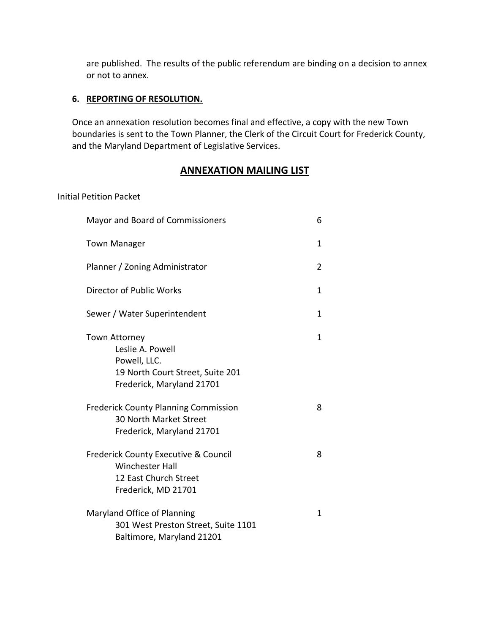are published. The results of the public referendum are binding on a decision to annex or not to annex.

#### **6. REPORTING OF RESOLUTION.**

 Once an annexation resolution becomes final and effective, a copy with the new Town boundaries is sent to the Town Planner, the Clerk of the Circuit Court for Frederick County, and the Maryland Department of Legislative Services.

#### **ANNEXATION MAILING LIST**

#### Initial Petition Packet

| Mayor and Board of Commissioners                                                                                          |   |  |
|---------------------------------------------------------------------------------------------------------------------------|---|--|
| <b>Town Manager</b>                                                                                                       | 1 |  |
| Planner / Zoning Administrator                                                                                            |   |  |
| Director of Public Works                                                                                                  | 1 |  |
| Sewer / Water Superintendent                                                                                              | 1 |  |
| <b>Town Attorney</b><br>Leslie A. Powell<br>Powell, LLC.<br>19 North Court Street, Suite 201<br>Frederick, Maryland 21701 | 1 |  |
| <b>Frederick County Planning Commission</b><br>30 North Market Street<br>Frederick, Maryland 21701                        | 8 |  |
| <b>Frederick County Executive &amp; Council</b><br><b>Winchester Hall</b><br>12 East Church Street<br>Frederick, MD 21701 | 8 |  |
| Maryland Office of Planning<br>301 West Preston Street, Suite 1101<br>Baltimore, Maryland 21201                           | 1 |  |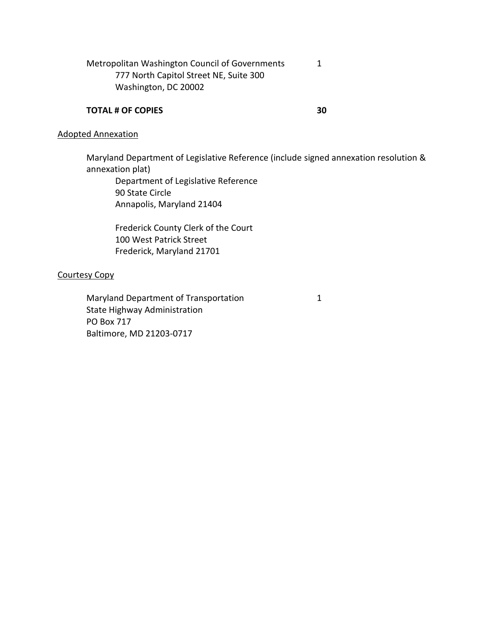Metropolitan Washington Council of Governments 777 North Capitol Street NE, Suite 300 Washington, DC 20002 1

#### **TOTAL # OF COPIES 30**

#### Adopted Annexation

 Maryland Department of Legislative Reference (include signed annexation resolution & annexation plat)

 90 State Circle Department of Legislative Reference Annapolis, Maryland 21404

 Frederick County Clerk of the Court 100 West Patrick Street Frederick, Maryland 21701

#### Courtesy Copy

Maryland Department of Transportation 1 State Highway Administration PO Box 717 Baltimore, MD 21203-0717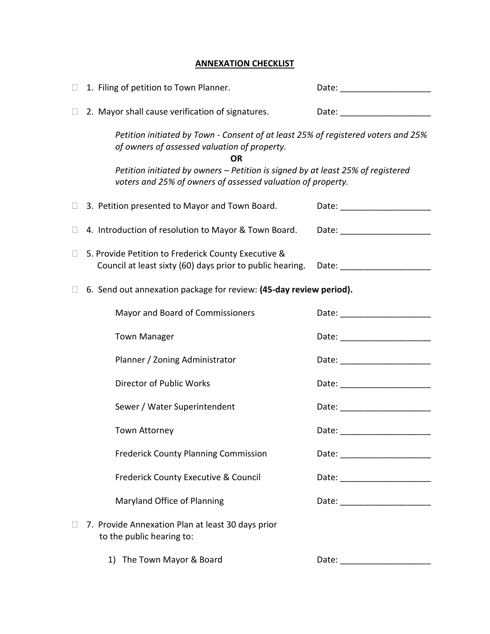#### **ANNEXATION CHECKLIST**

|        | 1. Filing of petition to Town Planner.                                                                                                         |                                                                                                                                                                                                                               |  |  |
|--------|------------------------------------------------------------------------------------------------------------------------------------------------|-------------------------------------------------------------------------------------------------------------------------------------------------------------------------------------------------------------------------------|--|--|
| $\Box$ | 2. Mayor shall cause verification of signatures.                                                                                               | Date: _______________________                                                                                                                                                                                                 |  |  |
|        | Petition initiated by Town - Consent of at least 25% of registered voters and 25%<br>of owners of assessed valuation of property.<br><b>OR</b> |                                                                                                                                                                                                                               |  |  |
|        | Petition initiated by owners - Petition is signed by at least 25% of registered<br>voters and 25% of owners of assessed valuation of property. |                                                                                                                                                                                                                               |  |  |
| u      | 3. Petition presented to Mayor and Town Board.                                                                                                 | Date: ____________________                                                                                                                                                                                                    |  |  |
| $\Box$ | 4. Introduction of resolution to Mayor & Town Board.                                                                                           | Date: _________________                                                                                                                                                                                                       |  |  |
| ⊔      | 5. Provide Petition to Frederick County Executive &<br>Council at least sixty (60) days prior to public hearing.                               | Date: and the state of the state of the state of the state of the state of the state of the state of the state                                                                                                                |  |  |
|        | 6. Send out annexation package for review: (45-day review period).                                                                             |                                                                                                                                                                                                                               |  |  |
|        | Mayor and Board of Commissioners                                                                                                               |                                                                                                                                                                                                                               |  |  |
|        | <b>Town Manager</b>                                                                                                                            | Date: _____________________                                                                                                                                                                                                   |  |  |
|        | Planner / Zoning Administrator                                                                                                                 | Date: _______________________                                                                                                                                                                                                 |  |  |
|        | Director of Public Works                                                                                                                       |                                                                                                                                                                                                                               |  |  |
|        | Sewer / Water Superintendent                                                                                                                   | Date: ______________________                                                                                                                                                                                                  |  |  |
|        | <b>Town Attorney</b>                                                                                                                           | Date: and the contract of the contract of the contract of the contract of the contract of the contract of the contract of the contract of the contract of the contract of the contract of the contract of the contract of the |  |  |
|        | <b>Frederick County Planning Commission</b>                                                                                                    | Date: _________________________                                                                                                                                                                                               |  |  |
|        | Frederick County Executive & Council                                                                                                           |                                                                                                                                                                                                                               |  |  |
|        | Maryland Office of Planning                                                                                                                    | Date: ________________________                                                                                                                                                                                                |  |  |
|        | 7. Provide Annexation Plan at least 30 days prior<br>to the public hearing to:                                                                 |                                                                                                                                                                                                                               |  |  |
|        | 1) The Town Mayor & Board                                                                                                                      |                                                                                                                                                                                                                               |  |  |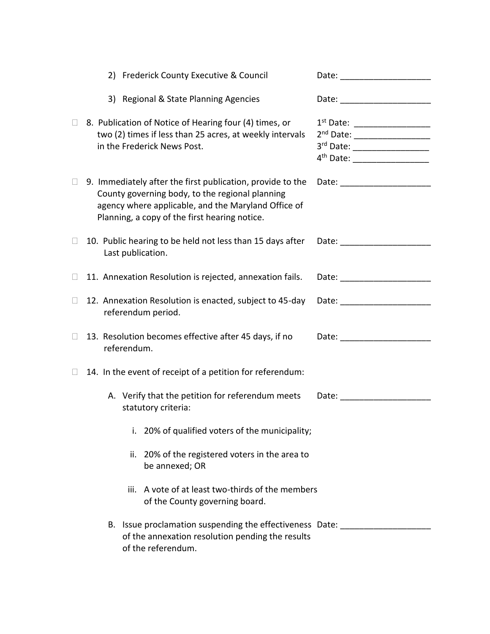|              |                                                                                                                                                                                                                                                  | 2) Frederick County Executive & Council                                                                                                           | Date: ____________________                                                                                                                                                                                                     |  |  |
|--------------|--------------------------------------------------------------------------------------------------------------------------------------------------------------------------------------------------------------------------------------------------|---------------------------------------------------------------------------------------------------------------------------------------------------|--------------------------------------------------------------------------------------------------------------------------------------------------------------------------------------------------------------------------------|--|--|
|              |                                                                                                                                                                                                                                                  | 3) Regional & State Planning Agencies                                                                                                             | Date: _______________________                                                                                                                                                                                                  |  |  |
| $\Box$       |                                                                                                                                                                                                                                                  | 8. Publication of Notice of Hearing four (4) times, or<br>two (2) times if less than 25 acres, at weekly intervals<br>in the Frederick News Post. | 1 <sup>st</sup> Date: ___________________<br>2 <sup>nd</sup> Date: ___________________<br>3 <sup>rd</sup> Date: ____________________<br>4 <sup>th</sup> Date: ___________________                                              |  |  |
| $\mathbf{L}$ | 9. Immediately after the first publication, provide to the<br>Date: _________________<br>County governing body, to the regional planning<br>agency where applicable, and the Maryland Office of<br>Planning, a copy of the first hearing notice. |                                                                                                                                                   |                                                                                                                                                                                                                                |  |  |
| $\Box$       |                                                                                                                                                                                                                                                  | 10. Public hearing to be held not less than 15 days after<br>Last publication.                                                                    |                                                                                                                                                                                                                                |  |  |
| Ш            |                                                                                                                                                                                                                                                  | 11. Annexation Resolution is rejected, annexation fails.                                                                                          | Date: the contract of the contract of the contract of the contract of the contract of the contract of the contract of the contract of the contract of the contract of the contract of the contract of the contract of the cont |  |  |
| $\Box$       |                                                                                                                                                                                                                                                  | 12. Annexation Resolution is enacted, subject to 45-day<br>referendum period.                                                                     |                                                                                                                                                                                                                                |  |  |
| $\Box$       | referendum.                                                                                                                                                                                                                                      | 13. Resolution becomes effective after 45 days, if no                                                                                             | Date: _____________________                                                                                                                                                                                                    |  |  |
| Ш            | 14. In the event of receipt of a petition for referendum:                                                                                                                                                                                        |                                                                                                                                                   |                                                                                                                                                                                                                                |  |  |
|              |                                                                                                                                                                                                                                                  | A. Verify that the petition for referendum meets<br>statutory criteria:                                                                           |                                                                                                                                                                                                                                |  |  |
|              |                                                                                                                                                                                                                                                  | i. 20% of qualified voters of the municipality;                                                                                                   |                                                                                                                                                                                                                                |  |  |
|              |                                                                                                                                                                                                                                                  | ii. 20% of the registered voters in the area to<br>be annexed; OR                                                                                 |                                                                                                                                                                                                                                |  |  |
|              |                                                                                                                                                                                                                                                  | A vote of at least two-thirds of the members<br>iii.<br>of the County governing board.                                                            |                                                                                                                                                                                                                                |  |  |
|              |                                                                                                                                                                                                                                                  | B. Issue proclamation suspending the effectiveness Date:<br>of the annexation resolution pending the results<br>of the referendum.                |                                                                                                                                                                                                                                |  |  |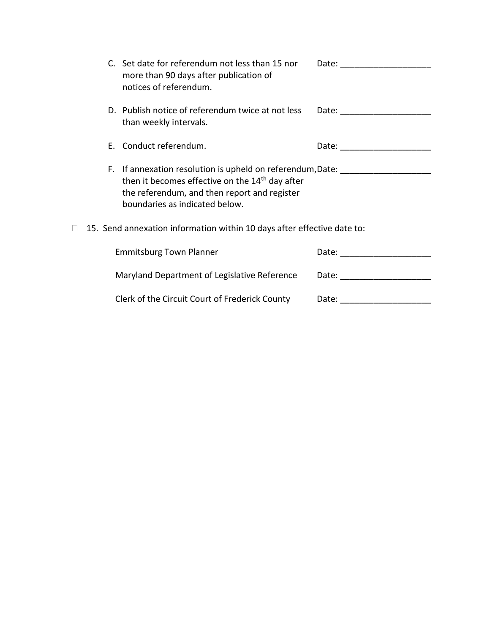|                                                                                                                                                                                                             |  | C. Set date for referendum not less than 15 nor<br>more than 90 days after publication of<br>notices of referendum. | Date: _________________                                                                                                                                                                                                        |
|-------------------------------------------------------------------------------------------------------------------------------------------------------------------------------------------------------------|--|---------------------------------------------------------------------------------------------------------------------|--------------------------------------------------------------------------------------------------------------------------------------------------------------------------------------------------------------------------------|
|                                                                                                                                                                                                             |  | D. Publish notice of referendum twice at not less<br>than weekly intervals.                                         | Date:                                                                                                                                                                                                                          |
|                                                                                                                                                                                                             |  | E. Conduct referendum.                                                                                              | Date: ________________                                                                                                                                                                                                         |
| F. If annexation resolution is upheld on referendum, Date:<br>then it becomes effective on the 14 <sup>th</sup> day after<br>the referendum, and then report and register<br>boundaries as indicated below. |  |                                                                                                                     |                                                                                                                                                                                                                                |
| 15. Send annexation information within 10 days after effective date to:                                                                                                                                     |  |                                                                                                                     |                                                                                                                                                                                                                                |
|                                                                                                                                                                                                             |  | <b>Emmitsburg Town Planner</b>                                                                                      | Date: the contract of the contract of the contract of the contract of the contract of the contract of the contract of the contract of the contract of the contract of the contract of the contract of the contract of the cont |
|                                                                                                                                                                                                             |  | Maryland Department of Legislative Reference                                                                        | Date: _________________                                                                                                                                                                                                        |
|                                                                                                                                                                                                             |  |                                                                                                                     |                                                                                                                                                                                                                                |

Clerk of the Circuit Court of Frederick County Date: \_\_\_\_\_\_\_\_\_\_\_\_\_\_\_\_\_\_\_\_\_\_\_\_\_\_\_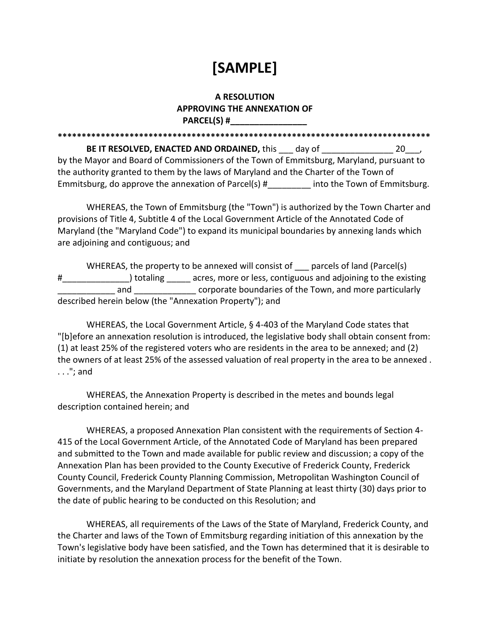## **[SAMPLE]**

#### **A RESOLUTION APPROVING THE ANNEXATION OF PARCEL(S) #\_\_\_\_\_\_\_\_\_\_\_\_\_\_\_\_**

 **BE IT RESOLVED, ENACTED AND ORDAINED,** this \_\_\_ day of \_\_\_\_\_\_\_\_\_\_\_\_\_\_\_ 20\_\_\_, by the Mayor and Board of Commissioners of the Town of Emmitsburg, Maryland, pursuant to the authority granted to them by the laws of Maryland and the Charter of the Town of Emmitsburg, do approve the annexation of Parcel(s) #\_\_\_\_\_\_\_\_ into the Town of Emmitsburg. **\*\*\*\*\*\*\*\*\*\*\*\*\*\*\*\*\*\*\*\*\*\*\*\*\*\*\*\*\*\*\*\*\*\*\*\*\*\*\*\*\*\*\*\*\*\*\*\*\*\*\*\*\*\*\*\*\*\*\*\*\*\*\*\*\*\*\*\*\*\*\*\*\*\*\*\*\*\*** 

 WHEREAS, the Town of Emmitsburg (the "Town") is authorized by the Town Charter and Maryland (the "Maryland Code") to expand its municipal boundaries by annexing lands which are adjoining and contiguous; and provisions of Title 4, Subtitle 4 of the Local Government Article of the Annotated Code of

 WHEREAS, the property to be annexed will consist of \_\_\_ parcels of land (Parcel(s) #\_\_\_\_\_\_\_\_\_\_\_\_\_\_\_\_\_) totaling \_\_\_\_\_\_ acres, more or less, contiguous and adjoining to the existing \_\_\_\_\_\_\_\_\_\_\_\_ and \_\_\_\_\_\_\_\_\_\_\_\_\_ corporate boundaries of the Town, and more particularly described herein below (the "Annexation Property"); and

 WHEREAS, the Local Government Article, § 4-403 of the Maryland Code states that "[b]efore an annexation resolution is introduced, the legislative body shall obtain consent from: (1) at least 25% of the registered voters who are residents in the area to be annexed; and (2) the owners of at least 25% of the assessed valuation of real property in the area to be annexed . . . ."; and

 WHEREAS, the Annexation Property is described in the metes and bounds legal description contained herein; and

 WHEREAS, a proposed Annexation Plan consistent with the requirements of Section 4- 415 of the Local Government Article, of the Annotated Code of Maryland has been prepared and submitted to the Town and made available for public review and discussion; a copy of the Annexation Plan has been provided to the County Executive of Frederick County, Frederick County Council, Frederick County Planning Commission, Metropolitan Washington Council of Governments, and the Maryland Department of State Planning at least thirty (30) days prior to the date of public hearing to be conducted on this Resolution; and

 WHEREAS, all requirements of the Laws of the State of Maryland, Frederick County, and the Charter and laws of the Town of Emmitsburg regarding initiation of this annexation by the Town's legislative body have been satisfied, and the Town has determined that it is desirable to initiate by resolution the annexation process for the benefit of the Town.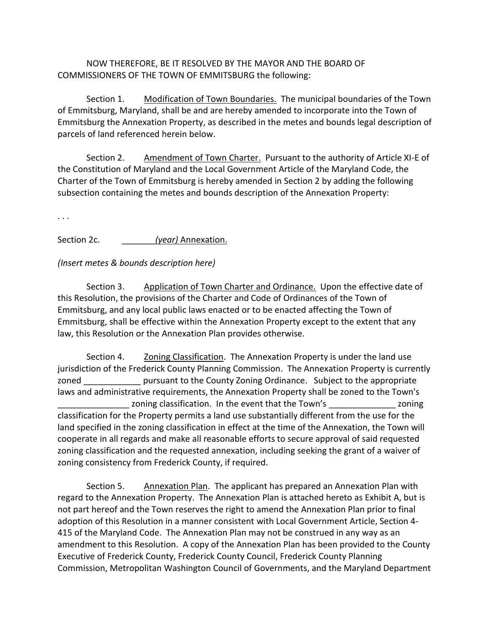#### NOW THEREFORE, BE IT RESOLVED BY THE MAYOR AND THE BOARD OF COMMISSIONERS OF THE TOWN OF EMMITSBURG the following:

Section 1. Modification of Town Boundaries. The municipal boundaries of the Town of Emmitsburg, Maryland, shall be and are hereby amended to incorporate into the Town of Emmitsburg the Annexation Property, as described in the metes and bounds legal description of parcels of land referenced herein below.

Section 2. Amendment of Town Charter. Pursuant to the authority of Article XI-E of the Constitution of Maryland and the Local Government Article of the Maryland Code, the Charter of the Town of Emmitsburg is hereby amended in Section 2 by adding the following subsection containing the metes and bounds description of the Annexation Property:

. . .

Section 2c. *gear* (year) Annexation.

#### *(Insert metes & bounds description here)*

Section 3. Application of Town Charter and Ordinance. Upon the effective date of this Resolution, the provisions of the Charter and Code of Ordinances of the Town of Emmitsburg, and any local public laws enacted or to be enacted affecting the Town of Emmitsburg, shall be effective within the Annexation Property except to the extent that any law, this Resolution or the Annexation Plan provides otherwise.

Section 4. Zoning Classification. The Annexation Property is under the land use jurisdiction of the Frederick County Planning Commission. The Annexation Property is currently zoned \_\_\_\_\_\_\_\_\_\_\_\_\_\_ pursuant to the County Zoning Ordinance. Subject to the appropriate laws and administrative requirements, the Annexation Property shall be zoned to the Town's \_\_\_\_\_\_\_\_\_\_\_\_\_\_\_ zoning classification. In the event that the Town's \_\_\_\_\_\_\_\_\_\_\_\_\_\_ zoning classification for the Property permits a land use substantially different from the use for the land specified in the zoning classification in effect at the time of the Annexation, the Town will cooperate in all regards and make all reasonable efforts to secure approval of said requested zoning classification and the requested annexation, including seeking the grant of a waiver of zoning consistency from Frederick County, if required.

Section 5. Annexation Plan. The applicant has prepared an Annexation Plan with regard to the Annexation Property. The Annexation Plan is attached hereto as Exhibit A, but is not part hereof and the Town reserves the right to amend the Annexation Plan prior to final adoption of this Resolution in a manner consistent with Local Government Article, Section 4- 415 of the Maryland Code. The Annexation Plan may not be construed in any way as an amendment to this Resolution. A copy of the Annexation Plan has been provided to the County Executive of Frederick County, Frederick County Council, Frederick County Planning Commission, Metropolitan Washington Council of Governments, and the Maryland Department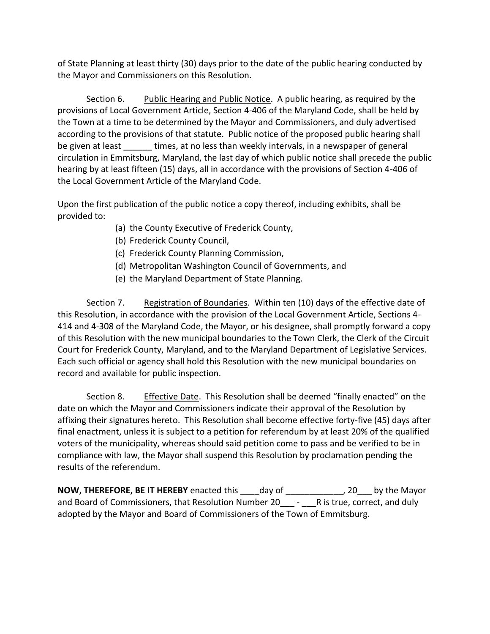of State Planning at least thirty (30) days prior to the date of the public hearing conducted by the Mayor and Commissioners on this Resolution.

Section 6. Public Hearing and Public Notice. A public hearing, as required by the provisions of Local Government Article, Section 4-406 of the Maryland Code, shall be held by the Town at a time to be determined by the Mayor and Commissioners, and duly advertised according to the provisions of that statute. Public notice of the proposed public hearing shall be given at least \_\_\_\_\_\_ times, at no less than weekly intervals, in a newspaper of general circulation in Emmitsburg, Maryland, the last day of which public notice shall precede the public hearing by at least fifteen (15) days, all in accordance with the provisions of Section 4-406 of the Local Government Article of the Maryland Code.

 Upon the first publication of the public notice a copy thereof, including exhibits, shall be provided to:

- (a) the County Executive of Frederick County,
- (b) Frederick County Council,
- (c) Frederick County Planning Commission,
- (d) Metropolitan Washington Council of Governments, and
- (e) the Maryland Department of State Planning.

Section 7. Alenistration of Boundaries. Within ten (10) days of the effective date of this Resolution, in accordance with the provision of the Local Government Article, Sections 4- 414 and 4-308 of the Maryland Code, the Mayor, or his designee, shall promptly forward a copy of this Resolution with the new municipal boundaries to the Town Clerk, the Clerk of the Circuit Court for Frederick County, Maryland, and to the Maryland Department of Legislative Services. Each such official or agency shall hold this Resolution with the new municipal boundaries on record and available for public inspection.

Section 8. **Effective Date.** This Resolution shall be deemed "finally enacted" on the date on which the Mayor and Commissioners indicate their approval of the Resolution by affixing their signatures hereto. This Resolution shall become effective forty-five (45) days after final enactment, unless it is subject to a petition for referendum by at least 20% of the qualified voters of the municipality, whereas should said petition come to pass and be verified to be in compliance with law, the Mayor shall suspend this Resolution by proclamation pending the results of the referendum.

 **NOW, THEREFORE, BE IT HEREBY** enacted this \_\_\_\_day of \_\_\_\_\_\_\_\_\_\_\_\_, 20\_\_\_ by the Mayor and Board of Commissioners, that Resolution Number 20\_\_\_\_ - \_\_\_\_R is true, correct, and duly adopted by the Mayor and Board of Commissioners of the Town of Emmitsburg.